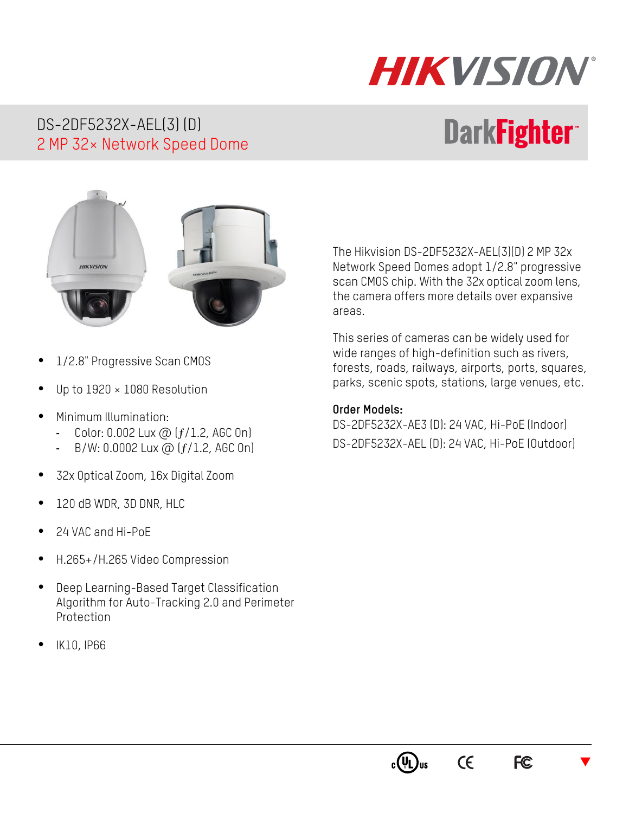# HIKVISION

#### DS-2DF5232X-AEL(3) (D) 2 MP 32× Network Speed Dome

## **DarkFighter**



- 1/2.8" Progressive Scan CMOS
- Up to 1920 × 1080 Resolution
- Minimum Illumination:
	- Color:  $0.002$  Lux  $\omega$  ( $f/1.2$ , AGC On)
	- B/W: 0.0002 Lux @  $(f/1.2,$  AGC 0n)
- 32x Optical Zoom, 16x Digital Zoom
- 120 dB WDR, 3D DNR, HLC
- 24 VAC and Hi-PoE
- H.265+/H.265 Video Compression
- Deep Learning-Based Target Classification Algorithm for Auto-Tracking 2.0 and Perimeter Protection
- IK10, IP66

The Hikvision DS-2DF5232X-AEL(3)(D) 2 MP 32x Network Speed Domes adopt 1/2.8" progressive scan CMOS chip. With the 32x optical zoom lens, the camera offers more details over expansive areas.

This series of cameras can be widely used for wide ranges of high-definition such as rivers, forests, roads, railways, airports, ports, squares, parks, scenic spots, stations, large venues, etc.

#### **Order Models:**

DS-2DF5232X-AE3 (D): 24 VAC, Hi-PoE (Indoor) DS-2DF5232X-AEL (D): 24 VAC, Hi-PoE (Outdoor)



 $\epsilon$ 

 $\blacktriangledown$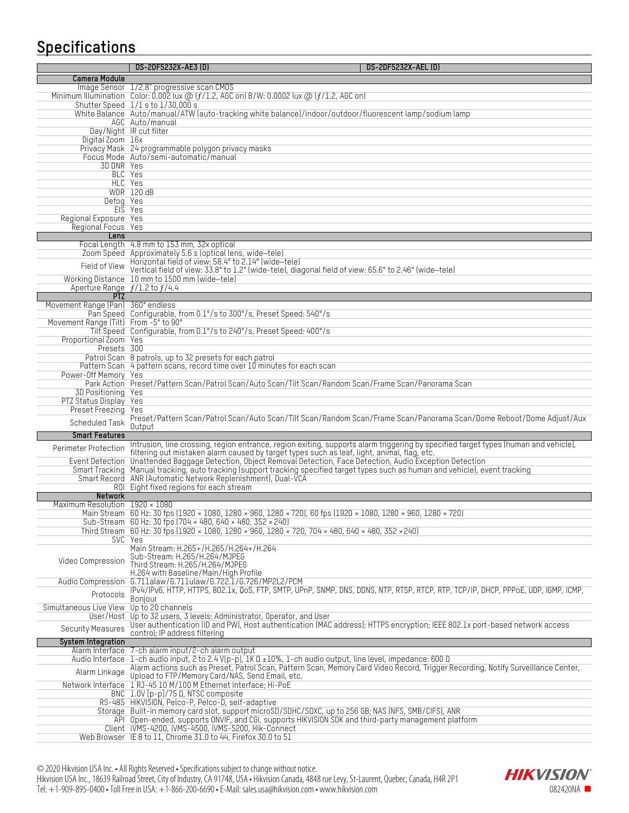### **Specifications**

|                                                      | DS-2DF5232X-AE3 (D)<br><b>DS-2DF5232X-AEL (D)</b>                                                                                                                                                                                 |
|------------------------------------------------------|-----------------------------------------------------------------------------------------------------------------------------------------------------------------------------------------------------------------------------------|
| Camera Module                                        |                                                                                                                                                                                                                                   |
|                                                      | Image Sensor 1/2.8" progressive scan CMOS<br>Minimum Illumination Color: 0.002 lux $\textcircled{a}$ ( $f/1.2$ , AGC on) B/W: 0.0002 lux $\textcircled{a}$ ( $f/1.2$ , AGC on)                                                    |
|                                                      | Shutter Speed 1/1 s to 1/30,000 s                                                                                                                                                                                                 |
|                                                      | White Balance Auto/manual/ATW (auto-tracking white balance)/indoor/outdoor/fluorescent lamp/sodium lamp<br>AGC Auto/manual                                                                                                        |
|                                                      | Day/Night IR cut filter                                                                                                                                                                                                           |
| Digital Zoom 16x                                     |                                                                                                                                                                                                                                   |
|                                                      | Privacy Mask 24 programmable polygon privacy masks<br>Focus Mode Auto/semi-automatic/manual                                                                                                                                       |
| 3D DNR Yes                                           |                                                                                                                                                                                                                                   |
|                                                      | BLC Yes<br>HLC Yes                                                                                                                                                                                                                |
|                                                      | <b>WDR 120 dB</b>                                                                                                                                                                                                                 |
| Defog Yes                                            |                                                                                                                                                                                                                                   |
| Regional Exposure Yes                                | EIS Yes                                                                                                                                                                                                                           |
| Regional Focus Yes                                   |                                                                                                                                                                                                                                   |
| Lens                                                 | Focal Length 4.8 mm to 153 mm, 32x optical                                                                                                                                                                                        |
|                                                      | Zoom Speed Approximately 5.6 s (optical lens, wide-tele)                                                                                                                                                                          |
| Field of View                                        | Horizontal field of view: 58.4° to 2.14° (wide-tele)                                                                                                                                                                              |
|                                                      | Vertical field of view: 33.8° to 1.2° (wide-tele), diagonal field of view: 65.6° to 2.46° (wide-tele)<br>Working Distance 10 mm to 1500 mm (wide-tele)                                                                            |
| Aperture Range $f/1.2$ to $f/4.4$                    |                                                                                                                                                                                                                                   |
| PT <sub>7</sub><br>Movement Range (Pan) 360° endless |                                                                                                                                                                                                                                   |
|                                                      | Pan Speed Configurable, from 0.1°/s to 300°/s, Preset Speed: 540°/s                                                                                                                                                               |
| Movement Range (Tilt) From -5° to 90°                |                                                                                                                                                                                                                                   |
| Proportional Zoom Yes                                | Tilt Speed Configurable, from 0.1°/s to 240°/s, Preset Speed: 400°/s                                                                                                                                                              |
| Presets 300                                          |                                                                                                                                                                                                                                   |
|                                                      | Patrol Scan 8 patrols, up to 32 presets for each patrol<br>Pattern Scan 4 pattern scans, record time over 10 minutes for each scan                                                                                                |
| Power-Off Memory Yes                                 |                                                                                                                                                                                                                                   |
| 3D Positioning Yes                                   | Park Action Preset/Pattern Scan/Patrol Scan/Auto Scan/Tilt Scan/Random Scan/Frame Scan/Panorama Scan                                                                                                                              |
| PTZ Status Display Yes                               |                                                                                                                                                                                                                                   |
| Preset Freezing Yes                                  |                                                                                                                                                                                                                                   |
| Scheduled Task                                       | Preset/Pattern Scan/Patrol Scan/Auto Scan/Tilt Scan/Random Scan/Frame Scan/Panorama Scan/Dome Reboot/Dome Adjust/Aux<br>Output                                                                                                    |
| <b>Smart Features</b>                                |                                                                                                                                                                                                                                   |
| Perimeter Protection                                 | Intrusion, line crossing, region entrance, region exiting, supports alarm triggering by specified target types (human and vehicle),<br>filtering out mistaken alarm caused by target types such as leaf, light, animal, flag, etc |
|                                                      | Event Detection Unattended Baggage Detection, Object Removal Detection, Face Detection, Audio Exception Detection                                                                                                                 |
|                                                      | Smart Tracking Manual tracking, auto tracking (support tracking specified target types such as human and vehicle), event tracking<br>Smart Record ANR (Automatic Network Replenishment), Dual-VCA                                 |
|                                                      | ROI Eight fixed regions for each stream                                                                                                                                                                                           |
| <b>Network</b><br>Maximum Resolution 1920 × 1080     |                                                                                                                                                                                                                                   |
|                                                      | Main Stream 60 Hz: 30 fps (1920 × 1080, 1280 × 960, 1280 × 720), 60 fps (1920 × 1080, 1280 × 960, 1280 × 720)                                                                                                                     |
|                                                      | Sub-Stream 60 Hz: 30 fps (704 x 480, 640 x 480, 352 x 240)                                                                                                                                                                        |
|                                                      | Third Stream 60 Hz: 30 fps (1920 × 1080, 1280 × 960, 1280 × 720, 704 × 480, 640 × 480, 352 × 240)<br>SVC Yes                                                                                                                      |
|                                                      | Main Stream: H.265+/H.265/H.264+/H.264                                                                                                                                                                                            |
| Video Compression                                    | Sub-Stream: H.265/H.264/MJPEG<br>Third Stream: H.265/H.264/MJPEG                                                                                                                                                                  |
|                                                      | H.264 with Baseline/Main/High Profile                                                                                                                                                                                             |
| Audio Compression                                    | 6.711alaw/6.711ulaw/6.722.1/6.726/MP2L2/PCM<br>IPv4/IPv6, HTTP, HTTPS, 802.1x, QoS, FTP, SMTP, UPnP, SNMP, DNS, DDNS, NTP, RTSP, RTCP, RTP, TCP/IP, DHCP, PPPoE, UDP, IGMP, ICMP,                                                 |
| Protocols                                            | Bonjour                                                                                                                                                                                                                           |
| Simultaneous Live View                               | Up to 20 channels                                                                                                                                                                                                                 |
| User/Host                                            | Up to 32 users, 3 levels: Administrator, Operator, and User<br>User authentication (ID and PW), Host authentication (MAC address); HTTPS encryption; IEEE 802.1x port-based network access                                        |
| <b>Security Measures</b>                             | control; IP address filtering                                                                                                                                                                                                     |
| System Integration<br>Alarm Interface                | 7-ch alarm input/2-ch alarm output                                                                                                                                                                                                |
| Audio Interface                                      | 1-ch audio input, 2 to 2.4 V[p-p], 1K 0 ±10%, 1-ch audio output, line level, impedance: 600 0                                                                                                                                     |
| Alarm Linkage                                        | Alarm actions such as Preset, Patrol Scan, Pattern Scan, Memory Card Video Record, Trigger Recording, Notify Surveillance Center,<br>Upload to FTP/Memory Card/NAS, Send Email, etc.                                              |
|                                                      | Network Interface 1 RJ-45 10 M/100 M Ethernet Interface; Hi-PoE                                                                                                                                                                   |
|                                                      | BNC 1.0V [p-p]/75 0, NTSC composite<br>RS-485 HIKVISION, Pelco-P, Pelco-D, self-adaptive                                                                                                                                          |
|                                                      | Storage Built-in memory card slot, support microSD/SDHC/SDXC, up to 256 GB; NAS (NFS, SMB/CIFS), ANR                                                                                                                              |
|                                                      | API Open-ended, supports ONVIF, and CGI, supports HIKVISION SDK and third-party management platform                                                                                                                               |
|                                                      | Client iVMS-4200, iVMS-4500, iVMS-5200, Hik-Connect<br>Web Browser IE 8 to 11, Chrome 31.0 to 44, Firefox 30.0 to 51                                                                                                              |
|                                                      |                                                                                                                                                                                                                                   |

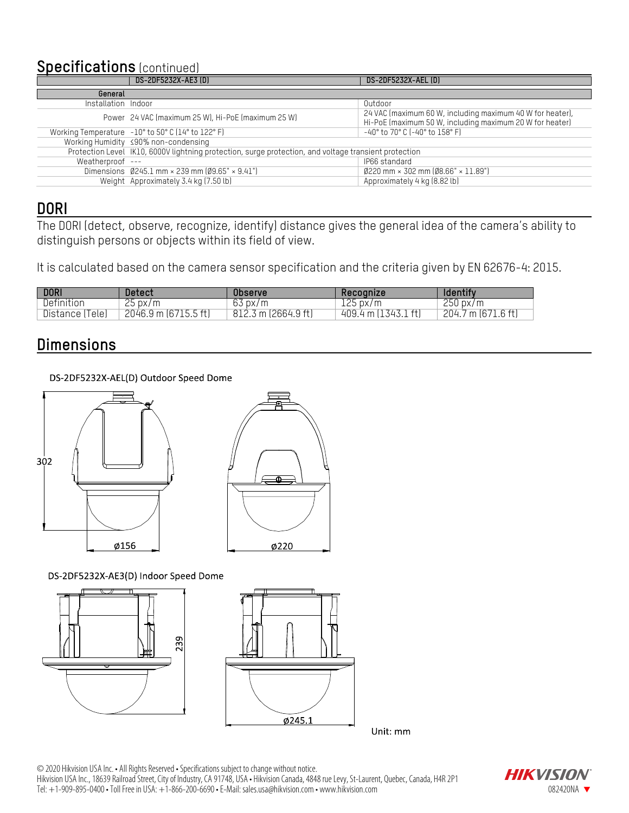#### **Specifications** (continued)

|                     | DS-2DF5232X-AE3 (D)                                                                                   | DS-2DF5232X-AEL (D)                                                                                                   |  |
|---------------------|-------------------------------------------------------------------------------------------------------|-----------------------------------------------------------------------------------------------------------------------|--|
| General             |                                                                                                       |                                                                                                                       |  |
| Installation Indoor |                                                                                                       | Outdoor                                                                                                               |  |
|                     | Power 24 VAC (maximum 25 W), Hi-PoE (maximum 25 W)                                                    | 24 VAC (maximum 60 W, including maximum 40 W for heater),<br>Hi-PoE (maximum 50 W, including maximum 20 W for heater) |  |
|                     | Working Temperature -10° to 50° C (14° to 122° F)                                                     | -40° to 70° C (-40° to 158° F)                                                                                        |  |
|                     | Working Humidity ≤90% non-condensing                                                                  |                                                                                                                       |  |
|                     | Protection Level IK10, 6000V lightning protection, surge protection, and voltage transient protection |                                                                                                                       |  |
| Weatherproof ---    |                                                                                                       | IP66 standard                                                                                                         |  |
|                     | Dimensions $0245.1$ mm $\times$ 239 mm $09.65$ " $\times$ 9.41"                                       | $0220$ mm × 302 mm $08.66"$ × 11.89")                                                                                 |  |
|                     | Weight Approximately 3.4 kg (7.50 lb)                                                                 | Approximately 4 kg (8.82 lb)                                                                                          |  |

#### **DORI**

The DORI (detect, observe, recognize, identify) distance gives the general idea of the camera's ability to distinguish persons or objects within its field of view.

It is calculated based on the camera sensor specification and the criteria given by EN 62676-4: 2015.

| <b>DORI</b>         | Detect                           | <b>Observe</b>      | Recognize                 | Identify                     |
|---------------------|----------------------------------|---------------------|---------------------------|------------------------------|
| Definition          | 25px/m                           | $63\,\mathrm{px/m}$ | $125\,\mathrm{px/m}$      | $250\,\mathrm{px/m}$         |
| Distance (<br>Telel | $2046.9$ m $(6715.5 \text{ ft})$ | 812.3 m (2664.9 ft) | $1-f+$<br>409.4 m (1343.1 | $204.7 \text{ m}$ (671.6 ft) |

#### **Dimensions**

DS-2DF5232X-AEL(D) Outdoor Speed Dome





DS-2DF5232X-AE3(D) Indoor Speed Dome





Unit: mm

© 2020 Hikvision USA Inc. • All Rights Reserved • Specifications subject to change without notice. Hikvision USA Inc., 18639 Railroad Street, City of Industry, CA 91748, USA • Hikvision Canada, 4848 rue Levy, St-Laurent, Quebec, Canada, H4R 2P1 Tel: +1-909-895-0400 • Toll Free in USA: +1-866-200-6690 • E-Mail: sales.usa@hikvision.com • www.hikvision.com • www.hikvision.com • www.hikvision.com • www.hikvision.com • www.hikvision.com • www.hikvision.com • www.hikv